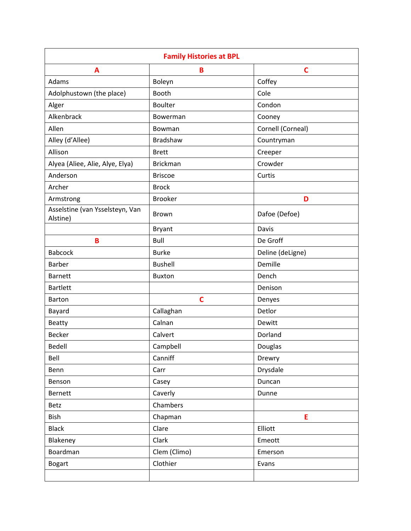| <b>Family Histories at BPL</b>              |                 |                   |  |
|---------------------------------------------|-----------------|-------------------|--|
| A                                           | B               | $\mathbf C$       |  |
| Adams                                       | Boleyn          | Coffey            |  |
| Adolphustown (the place)                    | Booth           | Cole              |  |
| Alger                                       | <b>Boulter</b>  | Condon            |  |
| Alkenbrack                                  | Bowerman        | Cooney            |  |
| Allen                                       | Bowman          | Cornell (Corneal) |  |
| Alley (d'Allee)                             | <b>Bradshaw</b> | Countryman        |  |
| Allison                                     | <b>Brett</b>    | Creeper           |  |
| Alyea (Aliee, Alie, Alye, Elya)             | <b>Brickman</b> | Crowder           |  |
| Anderson                                    | <b>Briscoe</b>  | Curtis            |  |
| Archer                                      | <b>Brock</b>    |                   |  |
| Armstrong                                   | <b>Brooker</b>  | D                 |  |
| Asselstine (van Ysselsteyn, Van<br>Alstine) | Brown           | Dafoe (Defoe)     |  |
|                                             | <b>Bryant</b>   | Davis             |  |
| B                                           | Bull            | De Groff          |  |
| <b>Babcock</b>                              | <b>Burke</b>    | Deline (deLigne)  |  |
| <b>Barber</b>                               | <b>Bushell</b>  | Demille           |  |
| <b>Barnett</b>                              | <b>Buxton</b>   | Dench             |  |
| <b>Bartlett</b>                             |                 | Denison           |  |
| <b>Barton</b>                               | $\mathbf c$     | Denyes            |  |
| Bayard                                      | Callaghan       | Detlor            |  |
| <b>Beatty</b>                               | Calnan          | Dewitt            |  |
| <b>Becker</b>                               | Calvert         | Dorland           |  |
| Bedell                                      | Campbell        | Douglas           |  |
| Bell                                        | Canniff         | Drewry            |  |
| Benn                                        | Carr            | Drysdale          |  |
| Benson                                      | Casey           | Duncan            |  |
| <b>Bernett</b>                              | Caverly         | Dunne             |  |
| Betz                                        | Chambers        |                   |  |
| <b>Bish</b>                                 | Chapman         | E                 |  |
| <b>Black</b>                                | Clare           | Elliott           |  |
| Blakeney                                    | Clark           | Emeott            |  |
| Boardman                                    | Clem (Climo)    | Emerson           |  |
| <b>Bogart</b>                               | Clothier        | Evans             |  |
|                                             |                 |                   |  |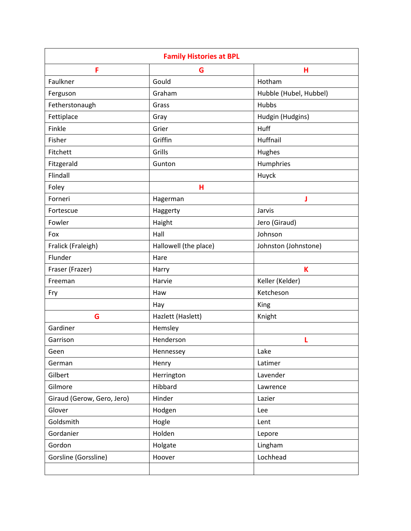| <b>Family Histories at BPL</b> |                       |                        |
|--------------------------------|-----------------------|------------------------|
| F                              | G                     | н                      |
| Faulkner                       | Gould                 | Hotham                 |
| Ferguson                       | Graham                | Hubble (Hubel, Hubbel) |
| Fetherstonaugh                 | Grass                 | Hubbs                  |
| Fettiplace                     | Gray                  | Hudgin (Hudgins)       |
| Finkle                         | Grier                 | Huff                   |
| Fisher                         | Griffin               | Huffnail               |
| Fitchett                       | Grills                | Hughes                 |
| Fitzgerald                     | Gunton                | Humphries              |
| Flindall                       |                       | Huyck                  |
| Foley                          | н                     |                        |
| Forneri                        | Hagerman              | J                      |
| Fortescue                      | Haggerty              | Jarvis                 |
| Fowler                         | Haight                | Jero (Giraud)          |
| Fox                            | Hall                  | Johnson                |
| Fralick (Fraleigh)             | Hallowell (the place) | Johnston (Johnstone)   |
| Flunder                        | Hare                  |                        |
| Fraser (Frazer)                | Harry                 | K                      |
| Freeman                        | Harvie                | Keller (Kelder)        |
| Fry                            | Haw                   | Ketcheson              |
|                                | Hay                   | King                   |
| G                              | Hazlett (Haslett)     | Knight                 |
| Gardiner                       | Hemsley               |                        |
| Garrison                       | Henderson             | L                      |
| Geen                           | Hennessey             | Lake                   |
| German                         | Henry                 | Latimer                |
| Gilbert                        | Herrington            | Lavender               |
| Gilmore                        | Hibbard               | Lawrence               |
| Giraud (Gerow, Gero, Jero)     | Hinder                | Lazier                 |
| Glover                         | Hodgen                | Lee                    |
| Goldsmith                      | Hogle                 | Lent                   |
| Gordanier                      | Holden                | Lepore                 |
| Gordon                         | Holgate               | Lingham                |
| Gorsline (Gorssline)           | Hoover                | Lochhead               |
|                                |                       |                        |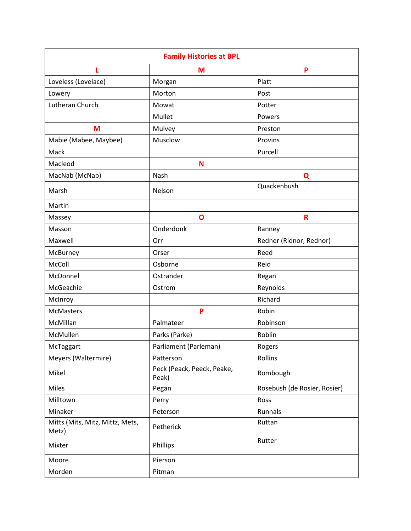|                                          | <b>Family Histories at BPL</b>      |                              |
|------------------------------------------|-------------------------------------|------------------------------|
| L                                        | M                                   | P                            |
| Loveless (Lovelace)                      | Morgan                              | Platt                        |
| Lowery                                   | Morton                              | Post                         |
| Lutheran Church                          | Mowat                               | Potter                       |
|                                          | Mullet                              | Powers                       |
| M                                        | Mulvey                              | Preston                      |
| Mabie (Mabee, Maybee)                    | Musclow                             | Provins                      |
| Mack                                     |                                     | Purcell                      |
| Macleod                                  | N                                   |                              |
| MacNab (McNab)                           | Nash                                | Q                            |
| Marsh                                    | Nelson                              | Quackenbush                  |
| Martin                                   |                                     |                              |
| Massey                                   | O                                   | R                            |
| Masson                                   | Onderdonk                           | Ranney                       |
| Maxwell                                  | Orr                                 | Redner (Ridnor, Rednor)      |
| McBurney                                 | Orser                               | Reed                         |
| McColl                                   | Osborne                             | Reid                         |
| McDonnel                                 | Ostrander                           | Regan                        |
| McGeachie                                | Ostrom                              | Reynolds                     |
| McInroy                                  |                                     | Richard                      |
| <b>McMasters</b>                         | P                                   | Robin                        |
| McMillan                                 | Palmateer                           | Robinson                     |
| McMullen                                 | Parks (Parke)                       | Roblin                       |
| McTaggart                                | Parliament (Parleman)               | Rogers                       |
| Meyers (Waltermire)                      | Patterson                           | Rollins                      |
| Mikel                                    | Peck (Peack, Peeck, Peake,<br>Peak) | Rombough                     |
| Miles                                    | Pegan                               | Rosebush (de Rosier, Rosier) |
| Milltown                                 | Perry                               | Ross                         |
| Minaker                                  | Peterson                            | Runnals                      |
| Mitts (Mits, Mitz, Mittz, Mets,<br>Metz) | Petherick                           | Ruttan                       |
| Mixter                                   | Phillips                            | Rutter                       |
| Moore                                    | Pierson                             |                              |
| Morden                                   | Pitman                              |                              |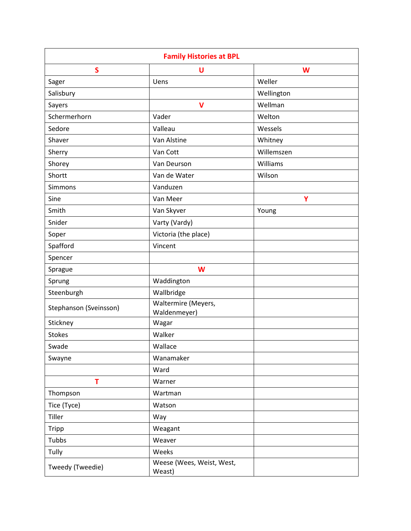| <b>Family Histories at BPL</b> |                                     |            |  |
|--------------------------------|-------------------------------------|------------|--|
| $\mathsf{s}$                   | U                                   | W          |  |
| Sager                          | Uens                                | Weller     |  |
| Salisbury                      |                                     | Wellington |  |
| Sayers                         | $\mathsf{V}$                        | Wellman    |  |
| Schermerhorn                   | Vader                               | Welton     |  |
| Sedore                         | Valleau                             | Wessels    |  |
| Shaver                         | Van Alstine                         | Whitney    |  |
| Sherry                         | Van Cott                            | Willemszen |  |
| Shorey                         | Van Deurson                         | Williams   |  |
| Shortt                         | Van de Water                        | Wilson     |  |
| Simmons                        | Vanduzen                            |            |  |
| Sine                           | Van Meer                            | Y          |  |
| Smith                          | Van Skyver                          | Young      |  |
| Snider                         | Varty (Vardy)                       |            |  |
| Soper                          | Victoria (the place)                |            |  |
| Spafford                       | Vincent                             |            |  |
| Spencer                        |                                     |            |  |
| Sprague                        | W                                   |            |  |
| Sprung                         | Waddington                          |            |  |
| Steenburgh                     | Wallbridge                          |            |  |
| Stephanson (Sveinsson)         | Waltermire (Meyers,<br>Waldenmeyer) |            |  |
| Stickney                       | Wagar                               |            |  |
| <b>Stokes</b>                  | Walker                              |            |  |
| Swade                          | Wallace                             |            |  |
| Swayne                         | Wanamaker                           |            |  |
|                                | Ward                                |            |  |
| T                              | Warner                              |            |  |
| Thompson                       | Wartman                             |            |  |
| Tice (Tyce)                    | Watson                              |            |  |
| Tiller                         | Way                                 |            |  |
| <b>Tripp</b>                   | Weagant                             |            |  |
| Tubbs                          | Weaver                              |            |  |
| Tully                          | Weeks                               |            |  |
| Tweedy (Tweedie)               | Weese (Wees, Weist, West,<br>Weast) |            |  |